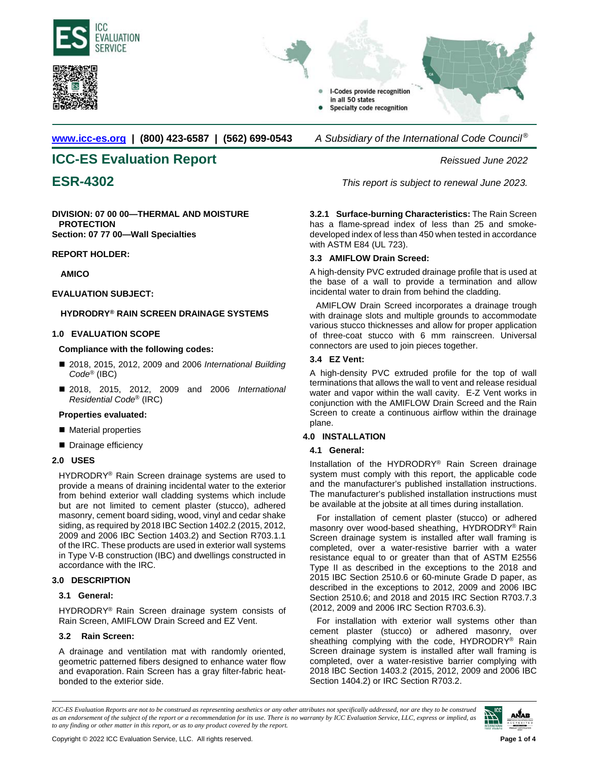





**[www.icc-es.org](http://www.icc-es.org/) | (800) 423-6587 | (562) 699-0543** *A Subsidiary of the International Code Council ®* 

# **ICC-ES Evaluation Report** *Reissued June 2022*

**DIVISION: 07 00 00—THERMAL AND MOISTURE PROTECTION Section: 07 77 00—Wall Specialties**

# **REPORT HOLDER:**

**AMICO**

# **EVALUATION SUBJECT:**

# **HYDRODRY® RAIN SCREEN DRAINAGE SYSTEMS**

# **1.0 EVALUATION SCOPE**

# **Compliance with the following codes:**

- 2018, 2015, 2012, 2009 and 2006 *International Building Code*® (IBC)
- 2018, 2015, 2012, 2009 and 2006 *International Residential Code*® (IRC)

# **Properties evaluated:**

- **Material properties**
- Drainage efficiency

# **2.0 USES**

HYDRODRY<sup>®</sup> Rain Screen drainage systems are used to provide a means of draining incidental water to the exterior from behind exterior wall cladding systems which include but are not limited to cement plaster (stucco), adhered masonry, cement board siding, wood, vinyl and cedar shake siding, as required by 2018 IBC Section 1402.2 (2015, 2012, 2009 and 2006 IBC Section 1403.2) and Section R703.1.1 of the IRC. These products are used in exterior wall systems in Type V-B construction (IBC) and dwellings constructed in accordance with the IRC.

# **3.0 DESCRIPTION**

# **3.1 General:**

HYDRODRY® Rain Screen drainage system consists of Rain Screen, AMIFLOW Drain Screed and EZ Vent.

# **3.2 Rain Screen:**

A drainage and ventilation mat with randomly oriented, geometric patterned fibers designed to enhance water flow and evaporation. Rain Screen has a gray filter-fabric heatbonded to the exterior side.

**ESR-4302** *This report is subject to renewal June 2023.*

**3.2.1 Surface-burning Characteristics:** The Rain Screen has a flame-spread index of less than 25 and smokedeveloped index of less than 450 when tested in accordance with ASTM E84 (UL 723).

# **3.3 AMIFLOW Drain Screed:**

A high-density PVC extruded drainage profile that is used at the base of a wall to provide a termination and allow incidental water to drain from behind the cladding.

AMIFLOW Drain Screed incorporates a drainage trough with drainage slots and multiple grounds to accommodate various stucco thicknesses and allow for proper application of three-coat stucco with 6 mm rainscreen. Universal connectors are used to join pieces together.

# **3.4 EZ Vent:**

A high-density PVC extruded profile for the top of wall terminations that allows the wall to vent and release residual water and vapor within the wall cavity. E-Z Vent works in conjunction with the AMIFLOW Drain Screed and the Rain Screen to create a continuous airflow within the drainage plane.

# **4.0 INSTALLATION**

# **4.1 General:**

Installation of the HYDRODRY® Rain Screen drainage system must comply with this report, the applicable code and the manufacturer's published installation instructions. The manufacturer's published installation instructions must be available at the jobsite at all times during installation.

For installation of cement plaster (stucco) or adhered masonry over wood-based sheathing, HYDRODRY® Rain Screen drainage system is installed after wall framing is completed, over a water-resistive barrier with a water resistance equal to or greater than that of ASTM E2556 Type II as described in the exceptions to the 2018 and 2015 IBC Section 2510.6 or 60-minute Grade D paper, as described in the exceptions to 2012, 2009 and 2006 IBC Section 2510.6; and 2018 and 2015 IRC Section R703.7.3 (2012, 2009 and 2006 IRC Section R703.6.3).

For installation with exterior wall systems other than cement plaster (stucco) or adhered masonry, over sheathing complying with the code, HYDRODRY<sup>®</sup> Rain Screen drainage system is installed after wall framing is completed, over a water-resistive barrier complying with 2018 IBC Section 1403.2 (2015, 2012, 2009 and 2006 IBC Section 1404.2) or IRC Section R703.2.

*ICC-ES Evaluation Reports are not to be construed as representing aesthetics or any other attributes not specifically addressed, nor are they to be construed as an endorsement of the subject of the report or a recommendation for its use. There is no warranty by ICC Evaluation Service, LLC, express or implied, as to any finding or other matter in this report, or as to any product covered by the report.*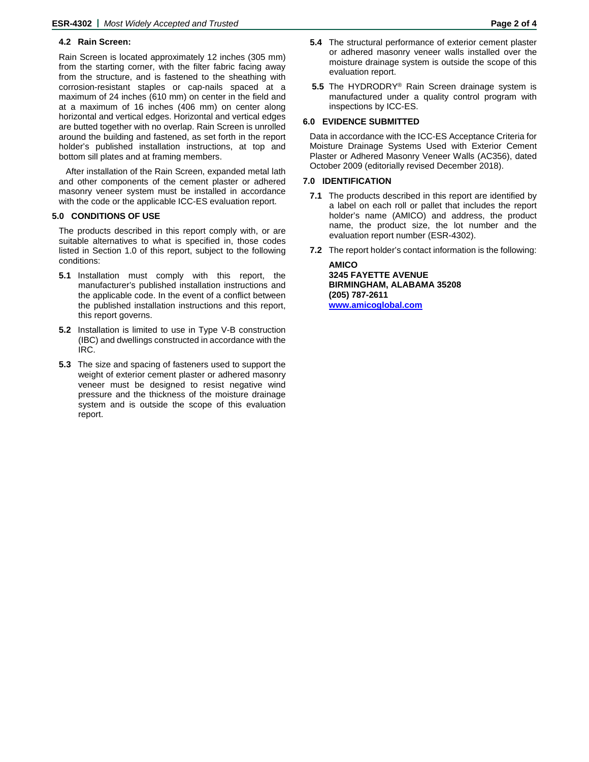# **4.2 Rain Screen:**

Rain Screen is located approximately 12 inches (305 mm) from the starting corner, with the filter fabric facing away from the structure, and is fastened to the sheathing with corrosion-resistant staples or cap-nails spaced at a maximum of 24 inches (610 mm) on center in the field and at a maximum of 16 inches (406 mm) on center along horizontal and vertical edges. Horizontal and vertical edges are butted together with no overlap. Rain Screen is unrolled around the building and fastened, as set forth in the report holder's published installation instructions, at top and bottom sill plates and at framing members.

After installation of the Rain Screen, expanded metal lath and other components of the cement plaster or adhered masonry veneer system must be installed in accordance with the code or the applicable ICC-ES evaluation report.

### **5.0 CONDITIONS OF USE**

The products described in this report comply with, or are suitable alternatives to what is specified in, those codes listed in Section 1.0 of this report, subject to the following conditions:

- **5.1** Installation must comply with this report, the manufacturer's published installation instructions and the applicable code. In the event of a conflict between the published installation instructions and this report, this report governs.
- **5.2** Installation is limited to use in Type V-B construction (IBC) and dwellings constructed in accordance with the IRC.
- **5.3** The size and spacing of fasteners used to support the weight of exterior cement plaster or adhered masonry veneer must be designed to resist negative wind pressure and the thickness of the moisture drainage system and is outside the scope of this evaluation report.
- **5.4** The structural performance of exterior cement plaster or adhered masonry veneer walls installed over the moisture drainage system is outside the scope of this evaluation report.
- **5.5** The HYDRODRY® Rain Screen drainage system is manufactured under a quality control program with inspections by ICC-ES.

### **6.0 EVIDENCE SUBMITTED**

Data in accordance with the ICC-ES Acceptance Criteria for Moisture Drainage Systems Used with Exterior Cement Plaster or Adhered Masonry Veneer Walls (AC356), dated October 2009 (editorially revised December 2018).

### **7.0 IDENTIFICATION**

- **7.1** The products described in this report are identified by a label on each roll or pallet that includes the report holder's name (AMICO) and address, the product name, the product size, the lot number and the evaluation report number (ESR-4302).
- **7.2** The report holder's contact information is the following:

**AMICO 3245 FAYETTE AVENUE BIRMINGHAM, ALABAMA 35208 (205) 787-2611 [www.amicoglobal.com](http://www.amicoglobal.com/)**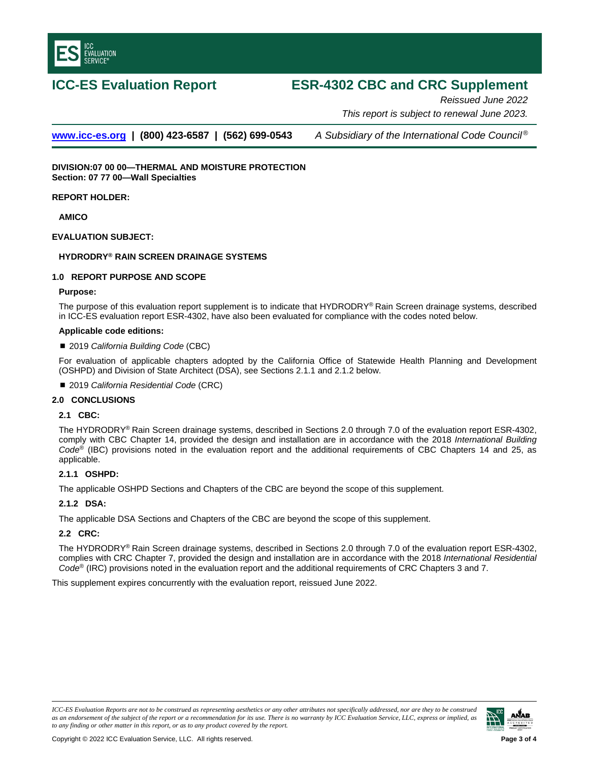

# **ICC-ES Evaluation Report ESR-4302 CBC and CRC Supplement**

*Reissued June 2022 This report is subject to renewal June 2023.* 

**[www.icc-es.org](http://www.icc-es.org/) | (800) 423-6587 | (562) 699-0543** *A Subsidiary of the International Code Council ®*

**DIVISION:07 00 00—THERMAL AND MOISTURE PROTECTION Section: 07 77 00—Wall Specialties** 

**REPORT HOLDER:**

**AMICO**

## **EVALUATION SUBJECT:**

# **HYDRODRY® RAIN SCREEN DRAINAGE SYSTEMS**

### **1.0 REPORT PURPOSE AND SCOPE**

### **Purpose:**

The purpose of this evaluation report supplement is to indicate that HYDRODRY® Rain Screen drainage systems, described in ICC-ES evaluation report ESR-4302, have also been evaluated for compliance with the codes noted below.

### **Applicable code editions:**

### 2019 *California Building Code* (CBC)

For evaluation of applicable chapters adopted by the California Office of Statewide Health Planning and Development (OSHPD) and Division of State Architect (DSA), see Sections 2.1.1 and 2.1.2 below.

2019 *California Residential Code* (CRC)

# **2.0 CONCLUSIONS**

### **2.1 CBC:**

The HYDRODRY® Rain Screen drainage systems, described in Sections 2.0 through 7.0 of the evaluation report ESR-4302, comply with CBC Chapter 14, provided the design and installation are in accordance with the 2018 *International Building Code*® (IBC) provisions noted in the evaluation report and the additional requirements of CBC Chapters 14 and 25, as applicable.

### **2.1.1 OSHPD:**

The applicable OSHPD Sections and Chapters of the CBC are beyond the scope of this supplement.

### **2.1.2 DSA:**

The applicable DSA Sections and Chapters of the CBC are beyond the scope of this supplement.

### **2.2 CRC:**

The HYDRODRY® Rain Screen drainage systems, described in Sections 2.0 through 7.0 of the evaluation report ESR-4302, complies with CRC Chapter 7, provided the design and installation are in accordance with the 2018 *International Residential Code*® (IRC) provisions noted in the evaluation report and the additional requirements of CRC Chapters 3 and 7.

This supplement expires concurrently with the evaluation report, reissued June 2022.